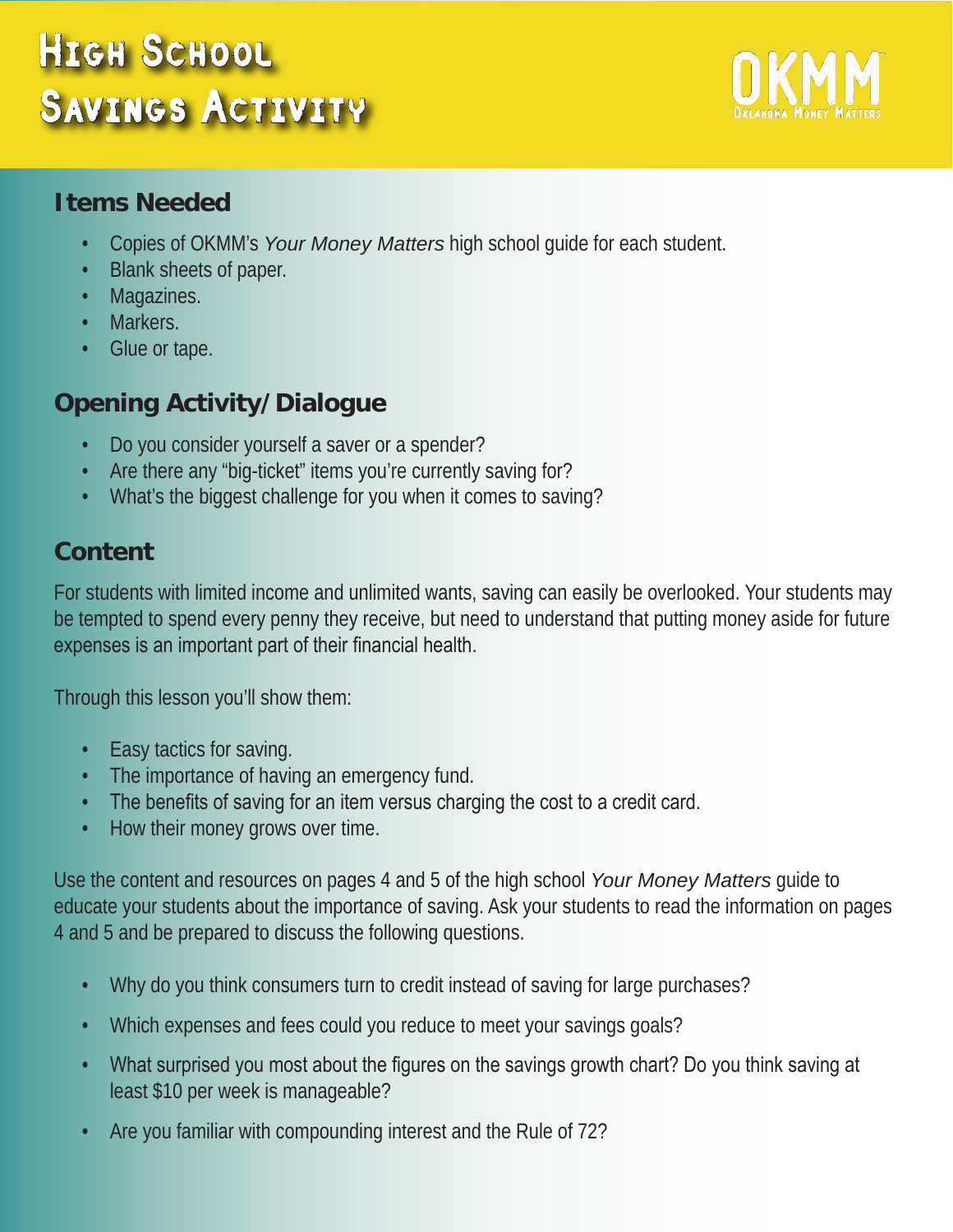# High School SAVINGS ACTIVITY



#### **Items Needed**

- Copies of OKMM's *Your Money Matters* high school guide for each student.
- Blank sheets of paper.
- **Magazines.**
- Markers.
- Glue or tape.

# **Opening Activity/Dialogue**

- Do you consider yourself a saver or a spender?
- Are there any "big-ticket" items you're currently saving for?
- What's the biggest challenge for you when it comes to saving?

### **Content**

For students with limited income and unlimited wants, saving can easily be overlooked. Your students may be tempted to spend every penny they receive, but need to understand that putting money aside for future expenses is an important part of their financial health.

Through this lesson you'll show them:

- Easy tactics for saving.
- The importance of having an emergency fund.
- The benefits of saving for an item versus charging the cost to a credit card.
- How their money grows over time.

Use the content and resources on pages 4 and 5 of the high school *Your Money Matters* guide to educate your students about the importance of saving. Ask your students to read the information on pages 4 and 5 and be prepared to discuss the following questions.

- Why do you think consumers turn to credit instead of saving for large purchases?
- Which expenses and fees could you reduce to meet your savings goals?
- What surprised you most about the figures on the savings growth chart? Do you think saving at least \$10 per week is manageable?
- Are you familiar with compounding interest and the Rule of 72?